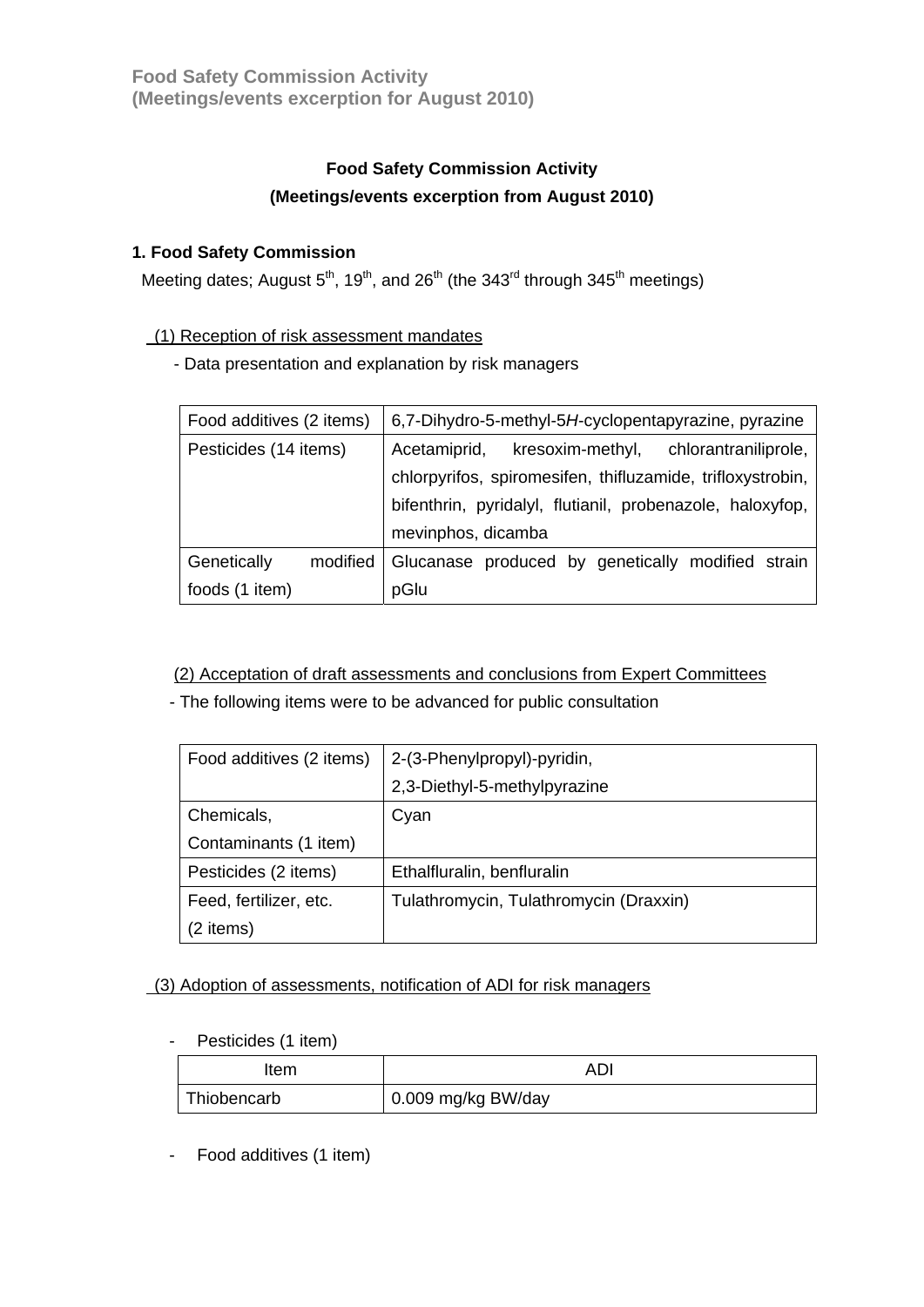# **Food Safety Commission Activity (Meetings/events excerption from August 2010)**

### **1. Food Safety Commission**

Meeting dates; August  $5<sup>th</sup>$ , 19<sup>th</sup>, and 26<sup>th</sup> (the 343<sup>rd</sup> through 345<sup>th</sup> meetings)

#### (1) Reception of risk assessment mandates

- Data presentation and explanation by risk managers

| Food additives (2 items) |          | 6,7-Dihydro-5-methyl-5H-cyclopentapyrazine, pyrazine       |
|--------------------------|----------|------------------------------------------------------------|
| Pesticides (14 items)    |          | kresoxim-methyl, chlorantraniliprole,<br>Acetamiprid,      |
|                          |          | chlorpyrifos, spiromesifen, thifluzamide, trifloxystrobin, |
|                          |          | bifenthrin, pyridalyl, flutianil, probenazole, haloxyfop,  |
|                          |          | mevinphos, dicamba                                         |
| Genetically              | modified | Glucanase produced by genetically modified strain          |
| foods (1 item)           |          | pGlu                                                       |

### (2) Acceptation of draft assessments and conclusions from Expert Committees

- The following items were to be advanced for public consultation

| Food additives (2 items) | 2-(3-Phenylpropyl)-pyridin,            |
|--------------------------|----------------------------------------|
|                          | 2,3-Diethyl-5-methylpyrazine           |
| Chemicals,               | Cyan                                   |
| Contaminants (1 item)    |                                        |
| Pesticides (2 items)     | Ethalfluralin, benfluralin             |
| Feed, fertilizer, etc.   | Tulathromycin, Tulathromycin (Draxxin) |
| (2 items)                |                                        |

### (3) Adoption of assessments, notification of ADI for risk managers

- Pesticides (1 item)

| Item        | AD                 |
|-------------|--------------------|
| Thiobencarb | 0.009 mg/kg BW/day |

- Food additives (1 item)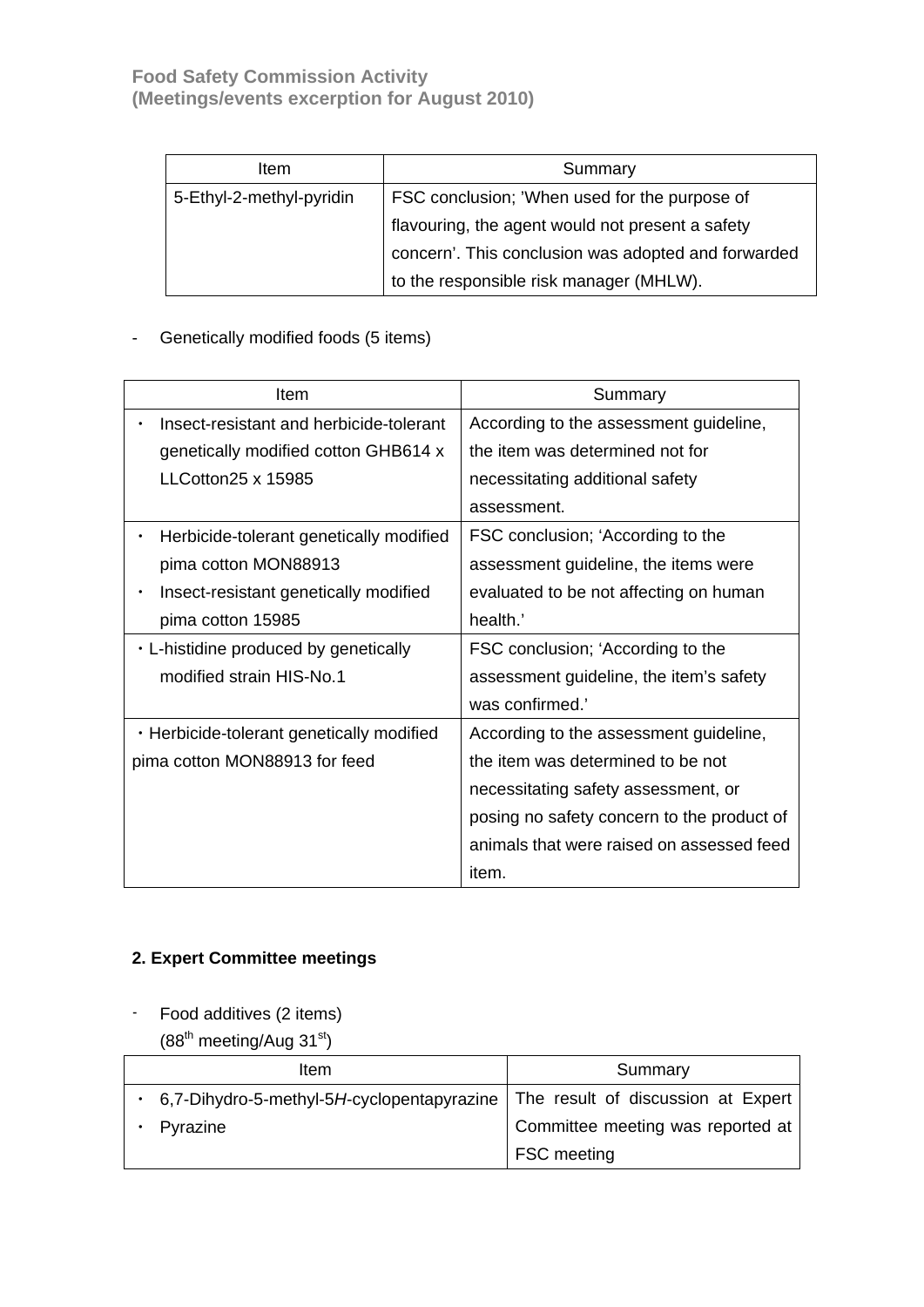| Item                     | Summary                                             |
|--------------------------|-----------------------------------------------------|
| 5-Ethyl-2-methyl-pyridin | FSC conclusion; 'When used for the purpose of       |
|                          | flavouring, the agent would not present a safety    |
|                          | concern'. This conclusion was adopted and forwarded |
|                          | to the responsible risk manager (MHLW).             |

# - Genetically modified foods (5 items)

| Item                                      | Summary                                    |
|-------------------------------------------|--------------------------------------------|
| Insect-resistant and herbicide-tolerant   | According to the assessment guideline,     |
| genetically modified cotton GHB614 x      | the item was determined not for            |
| $LLCotton25 \times 15985$                 | necessitating additional safety            |
|                                           | assessment.                                |
| Herbicide-tolerant genetically modified   | FSC conclusion; 'According to the          |
| pima cotton MON88913                      | assessment guideline, the items were       |
| Insect-resistant genetically modified     | evaluated to be not affecting on human     |
| pima cotton 15985                         | health.'                                   |
| . L-histidine produced by genetically     | FSC conclusion; 'According to the          |
| modified strain HIS-No.1                  | assessment guideline, the item's safety    |
|                                           | was confirmed.'                            |
| . Herbicide-tolerant genetically modified | According to the assessment guideline,     |
| pima cotton MON88913 for feed             | the item was determined to be not          |
|                                           | necessitating safety assessment, or        |
|                                           | posing no safety concern to the product of |
|                                           | animals that were raised on assessed feed  |
|                                           | item.                                      |

### **2. Expert Committee meetings**

- Food additives (2 items)
	- $(88<sup>th</sup> meeting/Aug 31<sup>st</sup>)$

| Item                                                                          | Summary                           |
|-------------------------------------------------------------------------------|-----------------------------------|
| 6.7-Dihydro-5-methyl-5H-cyclopentapyrazine The result of discussion at Expert |                                   |
| Pyrazine                                                                      | Committee meeting was reported at |
|                                                                               | <b>FSC</b> meeting                |